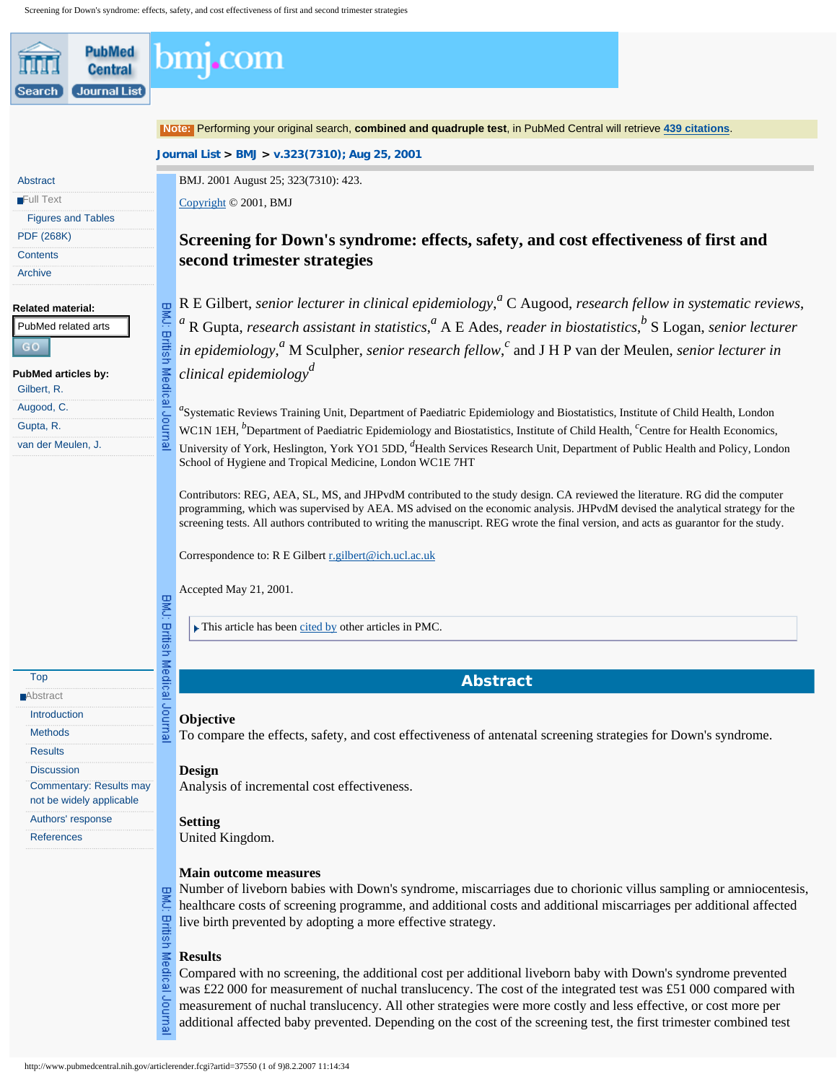<span id="page-0-1"></span><span id="page-0-0"></span>

| <b>PubMed</b><br><b>Central</b>                     |                              | om1.com                                                                                                                                                                                                                                                                                          |
|-----------------------------------------------------|------------------------------|--------------------------------------------------------------------------------------------------------------------------------------------------------------------------------------------------------------------------------------------------------------------------------------------------|
| <b>Journal List</b><br>Search                       |                              |                                                                                                                                                                                                                                                                                                  |
|                                                     |                              | Note: Performing your original search, combined and quadruple test, in PubMed Central will retrieve 439 citations.                                                                                                                                                                               |
|                                                     |                              | Journal List > BMJ > v.323(7310); Aug 25, 2001                                                                                                                                                                                                                                                   |
| Abstract                                            |                              | BMJ. 2001 August 25; 323(7310): 423.                                                                                                                                                                                                                                                             |
| Full Text                                           |                              | Copyright © 2001, BMJ                                                                                                                                                                                                                                                                            |
| <b>Figures and Tables</b>                           |                              |                                                                                                                                                                                                                                                                                                  |
| <b>PDF (268K)</b>                                   |                              | Screening for Down's syndrome: effects, safety, and cost effectiveness of first and                                                                                                                                                                                                              |
| <b>Contents</b>                                     |                              | second trimester strategies                                                                                                                                                                                                                                                                      |
| <b>Archive</b>                                      |                              |                                                                                                                                                                                                                                                                                                  |
| <b>Related material:</b>                            |                              | R E Gilbert, senior lecturer in clinical epidemiology, $^a$ C Augood, research fellow in systematic reviews,                                                                                                                                                                                     |
| PubMed related arts                                 |                              | R Gupta, research assistant in statistics, $^a$ A E Ades, reader in biostatistics, $^b$ S Logan, senior lecturer                                                                                                                                                                                 |
| GO                                                  |                              | in epidemiology, <sup><i>a</i></sup> M Sculpher, senior research fellow, <sup><i>c</i></sup> and J H P van der Meulen, senior lecturer in                                                                                                                                                        |
| <b>PubMed articles by:</b>                          |                              | clinical epidemiology <sup>d</sup>                                                                                                                                                                                                                                                               |
| Gilbert, R.                                         | BMJ: British Medical Journal |                                                                                                                                                                                                                                                                                                  |
| Augood, C.<br>Gupta, R.                             |                              | "Systematic Reviews Training Unit, Department of Paediatric Epidemiology and Biostatistics, Institute of Child Health, London                                                                                                                                                                    |
| van der Meulen, J.                                  |                              | WC1N 1EH, <sup>b</sup> Department of Paediatric Epidemiology and Biostatistics, Institute of Child Health, <sup>c</sup> Centre for Health Economics,<br>University of York, Heslington, York YO1 5DD, <sup>d</sup> Health Services Research Unit, Department of Public Health and Policy, London |
|                                                     |                              | School of Hygiene and Tropical Medicine, London WC1E 7HT                                                                                                                                                                                                                                         |
|                                                     |                              |                                                                                                                                                                                                                                                                                                  |
|                                                     |                              | Contributors: REG, AEA, SL, MS, and JHPvdM contributed to the study design. CA reviewed the literature. RG did the computer<br>programming, which was supervised by AEA. MS advised on the economic analysis. JHPvdM devised the analytical strategy for the                                     |
|                                                     |                              | screening tests. All authors contributed to writing the manuscript. REG wrote the final version, and acts as guarantor for the study.                                                                                                                                                            |
|                                                     |                              | Correspondence to: R E Gilbert r.gilbert@ich.ucl.ac.uk                                                                                                                                                                                                                                           |
|                                                     |                              |                                                                                                                                                                                                                                                                                                  |
|                                                     |                              | Accepted May 21, 2001.                                                                                                                                                                                                                                                                           |
|                                                     |                              | $\blacktriangleright$ This article has been cited by other articles in PMC.                                                                                                                                                                                                                      |
|                                                     |                              |                                                                                                                                                                                                                                                                                                  |
|                                                     | BMJ: British Medical Journa  |                                                                                                                                                                                                                                                                                                  |
| Top<br>Abstract                                     |                              | <b>Abstract</b>                                                                                                                                                                                                                                                                                  |
| Introduction                                        |                              | Objective                                                                                                                                                                                                                                                                                        |
| <b>Methods</b>                                      |                              | To compare the effects, safety, and cost effectiveness of antenatal screening strategies for Down's syndrome.                                                                                                                                                                                    |
| <b>Results</b>                                      |                              |                                                                                                                                                                                                                                                                                                  |
| <b>Discussion</b><br><b>Commentary: Results may</b> |                              | <b>Design</b>                                                                                                                                                                                                                                                                                    |
| not be widely applicable                            |                              | Analysis of incremental cost effectiveness.                                                                                                                                                                                                                                                      |
| Authors' response                                   |                              | <b>Setting</b>                                                                                                                                                                                                                                                                                   |
| <b>References</b>                                   |                              | United Kingdom.                                                                                                                                                                                                                                                                                  |
|                                                     |                              | <b>Main outcome measures</b>                                                                                                                                                                                                                                                                     |
|                                                     |                              | Number of liveborn babies with Down's syndrome, miscarriages due to chorionic villus sampling or amniocentesis,                                                                                                                                                                                  |
|                                                     | BMU:                         | healthcare costs of screening programme, and additional costs and additional miscarriages per additional affected                                                                                                                                                                                |
|                                                     |                              | live birth prevented by adopting a more effective strategy.                                                                                                                                                                                                                                      |
|                                                     |                              | <b>Results</b>                                                                                                                                                                                                                                                                                   |
|                                                     |                              | Compared with no screening, the additional cost per additional liveborn baby with Down's syndrome prevented                                                                                                                                                                                      |
|                                                     |                              | was £22 000 for measurement of nuchal translucency. The cost of the integrated test was £51 000 compared with<br>measurement of nuchal translucency. All other strategies were more costly and less effective, or cost more per                                                                  |
|                                                     | British Medical Journa       | additional affected baby prevented. Depending on the cost of the screening test, the first trimester combined test                                                                                                                                                                               |
|                                                     |                              |                                                                                                                                                                                                                                                                                                  |
|                                                     |                              | http://www.pubmedcentral.nih.gov/articlerender.fcgi?artid=37550 (1 of 9)8.2.2007 11:14:34                                                                                                                                                                                                        |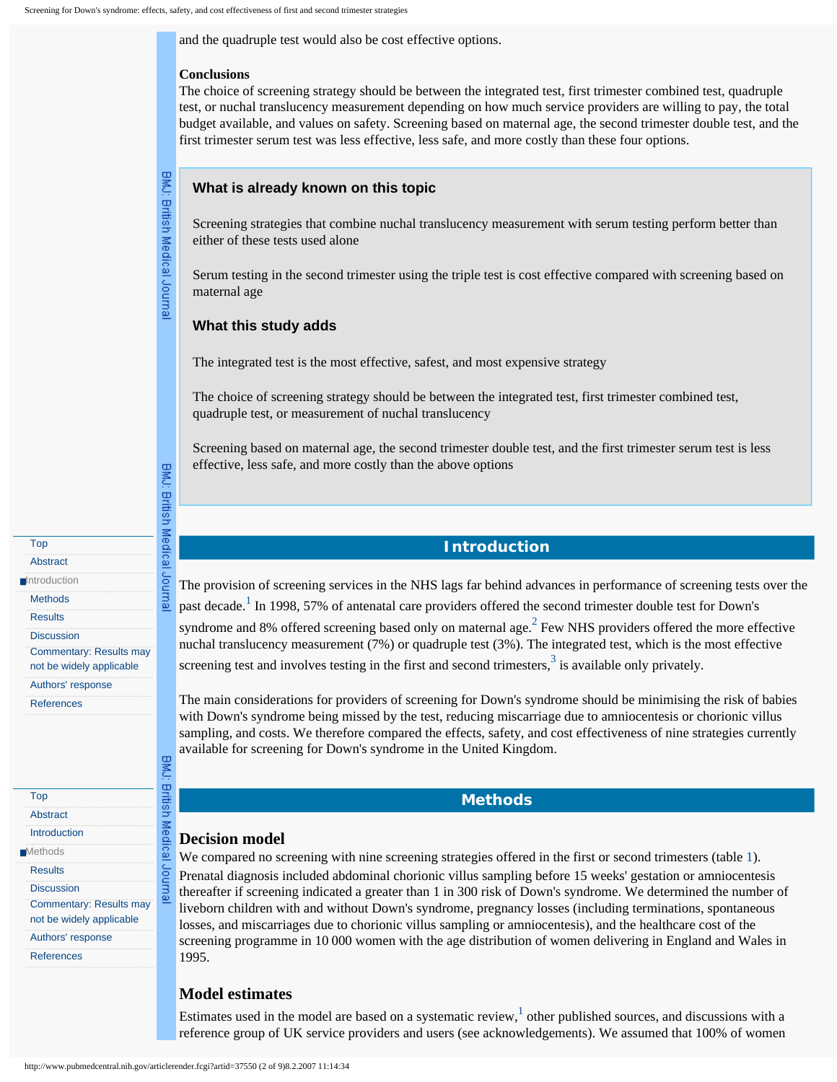and the quadruple test would also be cost effective options.

### **Conclusions**

The choice of screening strategy should be between the integrated test, first trimester combined test, quadruple test, or nuchal translucency measurement depending on how much service providers are willing to pay, the total budget available, and values on safety. Screening based on maternal age, the second trimester double test, and the first trimester serum test was less effective, less safe, and more costly than these four options.

# BMJ: British Medical Journal

BMJ: British Medical Journal

**BMU:** 

**British** 

Medical

lemunel

<span id="page-1-0"></span>[Top](#page-0-0) **[Abstract](#page-0-1) [Introduction](javascript:return(false);)** [Methods](#page-1-1) **[Results](#page-2-0) [Discussion](#page-3-0)** 

<span id="page-1-1"></span>[Top](#page-0-0) **[Abstract](#page-0-1)** [Introduction](#page-1-0) **■**[Methods](javascript:return(false);) **[Results](#page-2-0) [Discussion](#page-3-0)** 

[Commentary: Results may](#page-5-0) [not be widely applicable](#page-5-0) [Authors' response](#page-6-0) **[References](#page-7-0)** 

[Commentary: Results may](#page-5-0) [not be widely applicable](#page-5-0) [Authors' response](#page-6-0) **[References](#page-7-0)** 

**What is already known on this topic**

Screening strategies that combine nuchal translucency measurement with serum testing perform better than either of these tests used alone

Serum testing in the second trimester using the triple test is cost effective compared with screening based on maternal age

# **What this study adds**

The integrated test is the most effective, safest, and most expensive strategy

The choice of screening strategy should be between the integrated test, first trimester combined test, quadruple test, or measurement of nuchal translucency

Screening based on maternal age, the second trimester double test, and the first trimester serum test is less effective, less safe, and more costly than the above options

# **Introduction**

The provision of screening services in the NHS lags far behind advances in performance of screening tests over the past decade.<sup>[1](#page-7-1)</sup> In 1998, 57% of antenatal care providers offered the second trimester double test for Down's syndrome and 8% offered screening based only on maternal age.<sup>2</sup> Few NHS providers offered the more effective nuchal translucency measurement (7%) or quadruple test (3%). The integrated test, which is the most effective screening test and involves testing in the first and second trimesters,  $3$  is available only privately.

The main considerations for providers of screening for Down's syndrome should be minimising the risk of babies with Down's syndrome being missed by the test, reducing miscarriage due to amniocentesis or chorionic villus sampling, and costs. We therefore compared the effects, safety, and cost effectiveness of nine strategies currently available for screening for Down's syndrome in the United Kingdom.

# **Methods**

# **Decision model**

We compared no screening with nine screening strategies offered in the first or second trimesters (table [1](http://www.pubmedcentral.nih.gov/articlerender.fcgi?artid=37550&rendertype=table&id=T1)). Prenatal diagnosis included abdominal chorionic villus sampling before 15 weeks' gestation or amniocentesis thereafter if screening indicated a greater than 1 in 300 risk of Down's syndrome. We determined the number of liveborn children with and without Down's syndrome, pregnancy losses (including terminations, spontaneous losses, and miscarriages due to chorionic villus sampling or amniocentesis), and the healthcare cost of the screening programme in 10 000 women with the age distribution of women delivering in England and Wales in 1995.

# **Model estimates**

Estimates used in the model are based on a systematic review,  $\frac{1}{1}$  other published sources, and discussions with a reference group of UK service providers and users (see acknowledgements). We assumed that 100% of women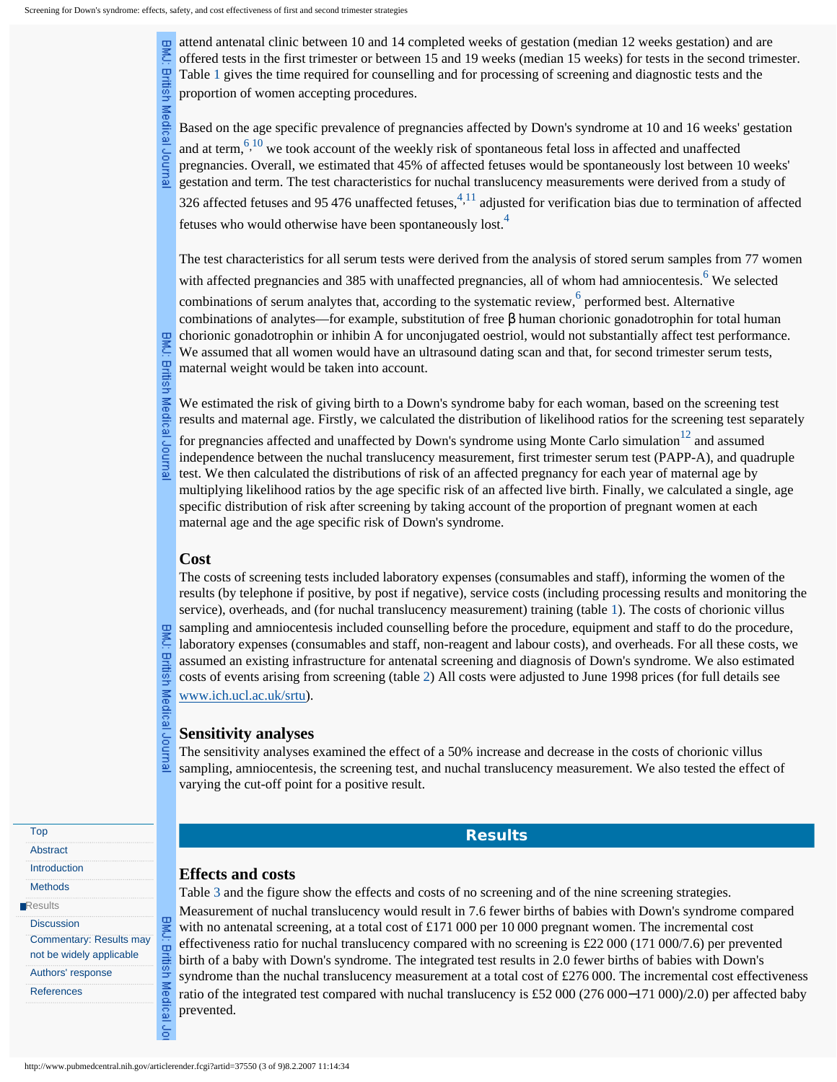rmsn

Medical

putha

attend antenatal clinic between 10 and 14 completed weeks of gestation (median 12 weeks gestation) and are offered tests in the first trimester or between 15 and 19 weeks (median 15 weeks) for tests in the second trimester. Table [1](http://www.pubmedcentral.nih.gov/articlerender.fcgi?artid=37550&rendertype=table&id=T1) gives the time required for counselling and for processing of screening and diagnostic tests and the proportion of women accepting procedures.

Based on the age specific prevalence of pregnancies affected by Down's syndrome at 10 and 16 weeks' gestation and at term,  $\frac{6,10}{10}$  $\frac{6,10}{10}$  $\frac{6,10}{10}$  we took account of the weekly risk of spontaneous fetal loss in affected and unaffected pregnancies. Overall, we estimated that 45% of affected fetuses would be spontaneously lost between 10 weeks' gestation and term. The test characteristics for nuchal translucency measurements were derived from a study of

326 affected fetuses and 95 476 unaffected fetuses, $^{4,11}$  $^{4,11}$  $^{4,11}$  adjusted for verification bias due to termination of affected fetuses who would otherwise have been spontaneously lost.<sup>[4](#page-7-6)</sup>

The test characteristics for all serum tests were derived from the analysis of stored serum samples from 77 women

with affected pregnancies and 385 with unaffected pregnancies, all of whom had amniocentesis.<sup>6</sup> We selected

combinations of serum analytes that, according to the systematic review,  $6$  performed best. Alternative combinations of analytes—for example, substitution of free β human chorionic gonadotrophin for total human chorionic gonadotrophin or inhibin A for unconjugated oestriol, would not substantially affect test performance. We assumed that all women would have an ultrasound dating scan and that, for second trimester serum tests, maternal weight would be taken into account.

뜨 ritish Medical letunor

We estimated the risk of giving birth to a Down's syndrome baby for each woman, based on the screening test results and maternal age. Firstly, we calculated the distribution of likelihood ratios for the screening test separately

for pregnancies affected and unaffected by Down's syndrome using Monte Carlo simulation $12$  and assumed independence between the nuchal translucency measurement, first trimester serum test (PAPP-A), and quadruple test. We then calculated the distributions of risk of an affected pregnancy for each year of maternal age by multiplying likelihood ratios by the age specific risk of an affected live birth. Finally, we calculated a single, age specific distribution of risk after screening by taking account of the proportion of pregnant women at each maternal age and the age specific risk of Down's syndrome.

#### **Cost**

**BMJ:** 

HUSHI

Medical

letunor

**BMJ:** 

**British** 

Medical

The costs of screening tests included laboratory expenses (consumables and staff), informing the women of the results (by telephone if positive, by post if negative), service costs (including processing results and monitoring the service), overheads, and (for nuchal translucency measurement) training (table [1](http://www.pubmedcentral.nih.gov/articlerender.fcgi?artid=37550&rendertype=table&id=T1)). The costs of chorionic villus sampling and amniocentesis included counselling before the procedure, equipment and staff to do the procedure, laboratory expenses (consumables and staff, non-reagent and labour costs), and overheads. For all these costs, we assumed an existing infrastructure for antenatal screening and diagnosis of Down's syndrome. We also estimated costs of events arising from screening (table [2\)](http://www.pubmedcentral.nih.gov/articlerender.fcgi?artid=37550&rendertype=table&id=T2) All costs were adjusted to June 1998 prices (for full details see [www.ich.ucl.ac.uk/srtu\)](http://www.pubmedcentral.nih.gov/redirect3.cgi?&&reftype=extlink&artid=37550&iid=118337&jid=3&FROM=Article|Body&TO=External|Link|URI&article-id=37550&journal-id=3&rendering-type=normal&&http://www.ich.ucl.ac.uk/srtu).

#### **Sensitivity analyses**

The sensitivity analyses examined the effect of a 50% increase and decrease in the costs of chorionic villus sampling, amniocentesis, the screening test, and nuchal translucency measurement. We also tested the effect of varying the cut-off point for a positive result.

# **Results**

#### **Effects and costs**

Table [3](http://www.pubmedcentral.nih.gov/articlerender.fcgi?artid=37550&rendertype=table&id=T3) and the figure show the effects and costs of no screening and of the nine screening strategies. Measurement of nuchal translucency would result in 7.6 fewer births of babies with Down's syndrome compared with no antenatal screening, at a total cost of £171 000 per 10 000 pregnant women. The incremental cost effectiveness ratio for nuchal translucency compared with no screening is £22 000 (171 000/7.6) per prevented birth of a baby with Down's syndrome. The integrated test results in 2.0 fewer births of babies with Down's syndrome than the nuchal translucency measurement at a total cost of £276 000. The incremental cost effectiveness ratio of the integrated test compared with nuchal translucency is £52 000 (276 000−171 000)/2.0) per affected baby prevented.

<span id="page-2-0"></span>[Top](#page-0-0) [Abstract](#page-0-1) [Introduction](#page-1-0) **[Methods](#page-1-1) [Results](javascript:return(false);) [Discussion](#page-3-0)** 

> [Commentary: Results may](#page-5-0) [not be widely applicable](#page-5-0) [Authors' response](#page-6-0) **[References](#page-7-0)**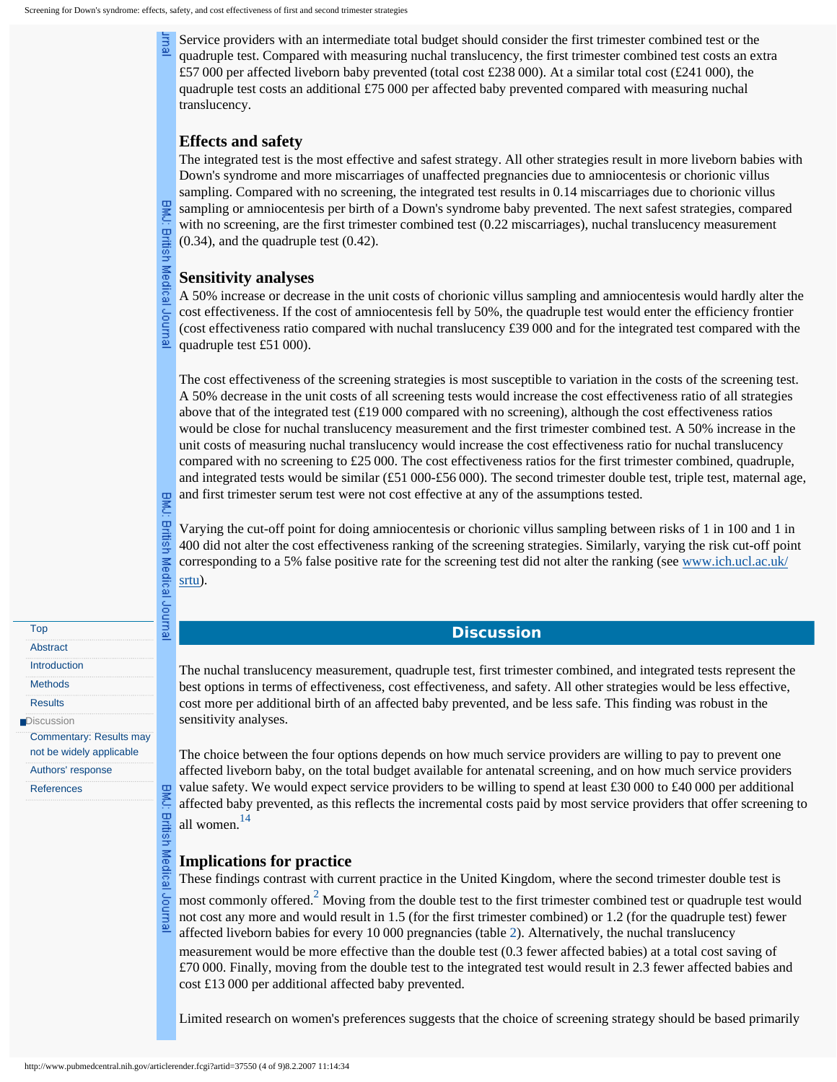Service providers with an intermediate total budget should consider the first trimester combined test or the quadruple test. Compared with measuring nuchal translucency, the first trimester combined test costs an extra £57 000 per affected liveborn baby prevented (total cost £238 000). At a similar total cost (£241 000), the quadruple test costs an additional £75 000 per affected baby prevented compared with measuring nuchal translucency.

# **Effects and safety**

The integrated test is the most effective and safest strategy. All other strategies result in more liveborn babies with Down's syndrome and more miscarriages of unaffected pregnancies due to amniocentesis or chorionic villus sampling. Compared with no screening, the integrated test results in 0.14 miscarriages due to chorionic villus sampling or amniocentesis per birth of a Down's syndrome baby prevented. The next safest strategies, compared with no screening, are the first trimester combined test (0.22 miscarriages), nuchal translucency measurement (0.34), and the quadruple test (0.42).

# **Sensitivity analyses**

**British** 

Medical

**Sour** 릢

**British** 

Medical Journal

**BMC:** 

**British** 

Medical

Journal

A 50% increase or decrease in the unit costs of chorionic villus sampling and amniocentesis would hardly alter the cost effectiveness. If the cost of amniocentesis fell by 50%, the quadruple test would enter the efficiency frontier (cost effectiveness ratio compared with nuchal translucency £39 000 and for the integrated test compared with the quadruple test £51 000).

The cost effectiveness of the screening strategies is most susceptible to variation in the costs of the screening test. A 50% decrease in the unit costs of all screening tests would increase the cost effectiveness ratio of all strategies above that of the integrated test (£19 000 compared with no screening), although the cost effectiveness ratios would be close for nuchal translucency measurement and the first trimester combined test. A 50% increase in the unit costs of measuring nuchal translucency would increase the cost effectiveness ratio for nuchal translucency compared with no screening to £25 000. The cost effectiveness ratios for the first trimester combined, quadruple, and integrated tests would be similar (£51 000-£56 000). The second trimester double test, triple test, maternal age, and first trimester serum test were not cost effective at any of the assumptions tested.

Varying the cut-off point for doing amniocentesis or chorionic villus sampling between risks of 1 in 100 and 1 in 400 did not alter the cost effectiveness ranking of the screening strategies. Similarly, varying the risk cut-off point corresponding to a 5% false positive rate for the screening test did not alter the ranking (see [www.ich.ucl.ac.uk/](http://www.pubmedcentral.nih.gov/redirect3.cgi?&&reftype=extlink&artid=37550&iid=118337&jid=3&FROM=Article|Body&TO=External|Link|URI&article-id=37550&journal-id=3&rendering-type=normal&&http://www.ich.ucl.ac.uk/srtu) [srtu](http://www.pubmedcentral.nih.gov/redirect3.cgi?&&reftype=extlink&artid=37550&iid=118337&jid=3&FROM=Article|Body&TO=External|Link|URI&article-id=37550&journal-id=3&rendering-type=normal&&http://www.ich.ucl.ac.uk/srtu)).

# **Discussion**

The nuchal translucency measurement, quadruple test, first trimester combined, and integrated tests represent the best options in terms of effectiveness, cost effectiveness, and safety. All other strategies would be less effective, cost more per additional birth of an affected baby prevented, and be less safe. This finding was robust in the sensitivity analyses.

The choice between the four options depends on how much service providers are willing to pay to prevent one affected liveborn baby, on the total budget available for antenatal screening, and on how much service providers value safety. We would expect service providers to be willing to spend at least £30 000 to £40 000 per additional affected baby prevented, as this reflects the incremental costs paid by most service providers that offer screening to all women.<sup>[14](#page-7-9)</sup>

# **Implications for practice**

These findings contrast with current practice in the United Kingdom, where the second trimester double test is

most commonly offered.<sup>2</sup> Moving from the double test to the first trimester combined test or quadruple test would not cost any more and would result in 1.5 (for the first trimester combined) or 1.2 (for the quadruple test) fewer affected liveborn babies for every 10 000 pregnancies (table [2](http://www.pubmedcentral.nih.gov/articlerender.fcgi?artid=37550&rendertype=table&id=T2)). Alternatively, the nuchal translucency measurement would be more effective than the double test (0.3 fewer affected babies) at a total cost saving of £70 000. Finally, moving from the double test to the integrated test would result in 2.3 fewer affected babies and cost £13 000 per additional affected baby prevented.

Limited research on women's preferences suggests that the choice of screening strategy should be based primarily

<span id="page-3-0"></span>[Methods](#page-1-1)

**[Results](#page-2-0)** 

**[Discussion](javascript:return(false);)** [Commentary: Results may](#page-5-0)

[not be widely applicable](#page-5-0)

[Authors' response](#page-6-0)

[References](#page-7-0)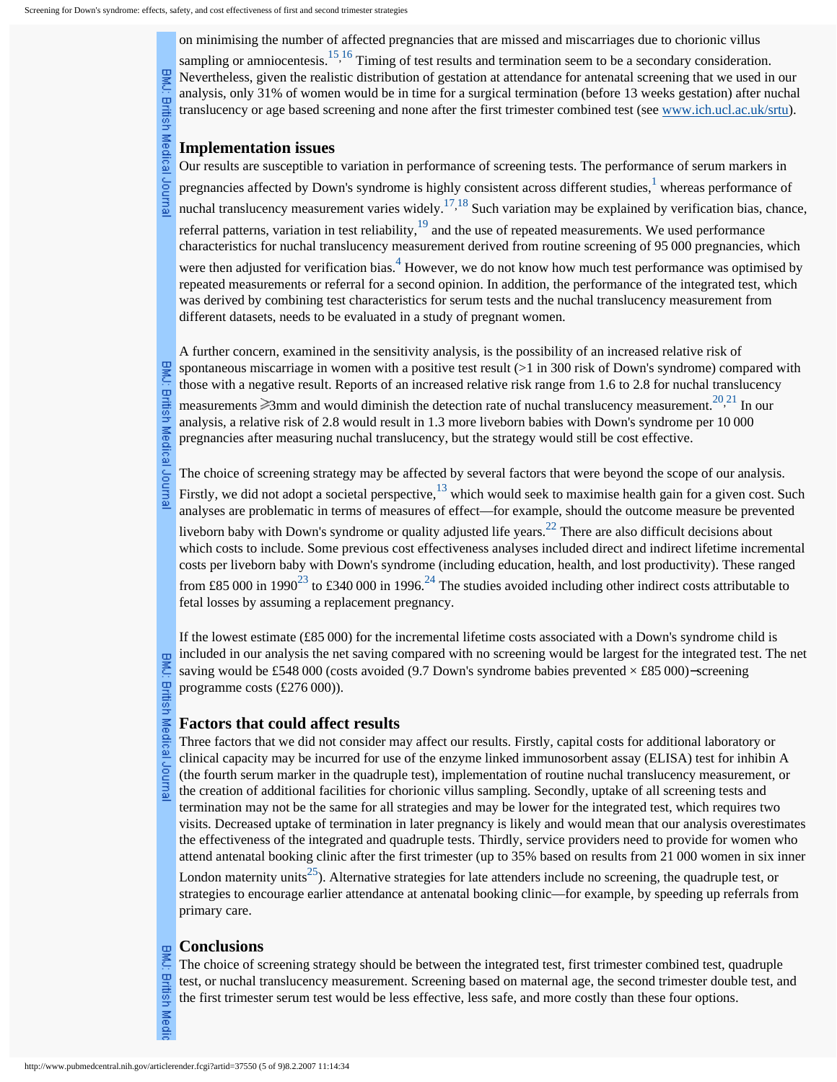on minimising the number of affected pregnancies that are missed and miscarriages due to chorionic villus

sampling or amniocentesis.<sup>[15,](#page-7-10)16</sup> Timing of test results and termination seem to be a secondary consideration. BMJ: British Medical Journal Nevertheless, given the realistic distribution of gestation at attendance for antenatal screening that we used in our analysis, only 31% of women would be in time for a surgical termination (before 13 weeks gestation) after nuchal translucency or age based screening and none after the first trimester combined test (see [www.ich.ucl.ac.uk/srtu](http://www.pubmedcentral.nih.gov/redirect3.cgi?&&reftype=extlink&artid=37550&iid=118337&jid=3&FROM=Article|Body&TO=External|Link|URI&article-id=37550&journal-id=3&rendering-type=normal&&http://www.ich.ucl.ac.uk/srtu)).

#### **Implementation issues**

Our results are susceptible to variation in performance of screening tests. The performance of serum markers in pregnancies affected by Down's syndrome is highly consistent across different studies,  $\frac{1}{1}$  $\frac{1}{1}$  $\frac{1}{1}$  whereas performance of nuchal translucency measurement varies widely.<sup>[17,](#page-7-12)18</sup> Such variation may be explained by verification bias, chance, referral patterns, variation in test reliability,<sup>[19](#page-7-14)</sup> and the use of repeated measurements. We used performance characteristics for nuchal translucency measurement derived from routine screening of 95 000 pregnancies, which

were then adjusted for verification bias.<sup>[4](#page-7-6)</sup> However, we do not know how much test performance was optimised by repeated measurements or referral for a second opinion. In addition, the performance of the integrated test, which was derived by combining test characteristics for serum tests and the nuchal translucency measurement from different datasets, needs to be evaluated in a study of pregnant women.

A further concern, examined in the sensitivity analysis, is the possibility of an increased relative risk of spontaneous miscarriage in women with a positive test result ( $>1$  in 300 risk of Down's syndrome) compared with those with a negative result. Reports of an increased relative risk range from 1.6 to 2.8 for nuchal translucency

measurements  $\geq 3$ mm and would diminish the detection rate of nuchal translucency measurement.<sup>20,[21](#page-7-16)</sup> In our analysis, a relative risk of 2.8 would result in 1.3 more liveborn babies with Down's syndrome per 10 000 pregnancies after measuring nuchal translucency, but the strategy would still be cost effective.

The choice of screening strategy may be affected by several factors that were beyond the scope of our analysis.

Firstly, we did not adopt a societal perspective, $13$  which would seek to maximise health gain for a given cost. Such analyses are problematic in terms of measures of effect—for example, should the outcome measure be prevented

liveborn baby with Down's syndrome or quality adjusted life years.<sup>22</sup> There are also difficult decisions about which costs to include. Some previous cost effectiveness analyses included direct and indirect lifetime incremental costs per liveborn baby with Down's syndrome (including education, health, and lost productivity). These ranged from £85 000 in 1990<sup>23</sup> to £340 000 in 1996.<sup>24</sup> The studies avoided including other indirect costs attributable to fetal losses by assuming a replacement pregnancy.

If the lowest estimate (£85 000) for the incremental lifetime costs associated with a Down's syndrome child is included in our analysis the net saving compared with no screening would be largest for the integrated test. The net saving would be £548 000 (costs avoided (9.7 Down's syndrome babies prevented × £85 000)–screening programme costs (£276 000)).

#### **Factors that could affect results**

Three factors that we did not consider may affect our results. Firstly, capital costs for additional laboratory or clinical capacity may be incurred for use of the enzyme linked immunosorbent assay (ELISA) test for inhibin A (the fourth serum marker in the quadruple test), implementation of routine nuchal translucency measurement, or the creation of additional facilities for chorionic villus sampling. Secondly, uptake of all screening tests and termination may not be the same for all strategies and may be lower for the integrated test, which requires two visits. Decreased uptake of termination in later pregnancy is likely and would mean that our analysis overestimates the effectiveness of the integrated and quadruple tests. Thirdly, service providers need to provide for women who attend antenatal booking clinic after the first trimester (up to 35% based on results from 21 000 women in six inner

London maternity units<sup>25</sup>). Alternative strategies for late attenders include no screening, the quadruple test, or strategies to encourage earlier attendance at antenatal booking clinic—for example, by speeding up referrals from primary care.

## **Conclusions**

The choice of screening strategy should be between the integrated test, first trimester combined test, quadruple test, or nuchal translucency measurement. Screening based on maternal age, the second trimester double test, and the first trimester serum test would be less effective, less safe, and more costly than these four options.

British Medical Journal

**British Medi**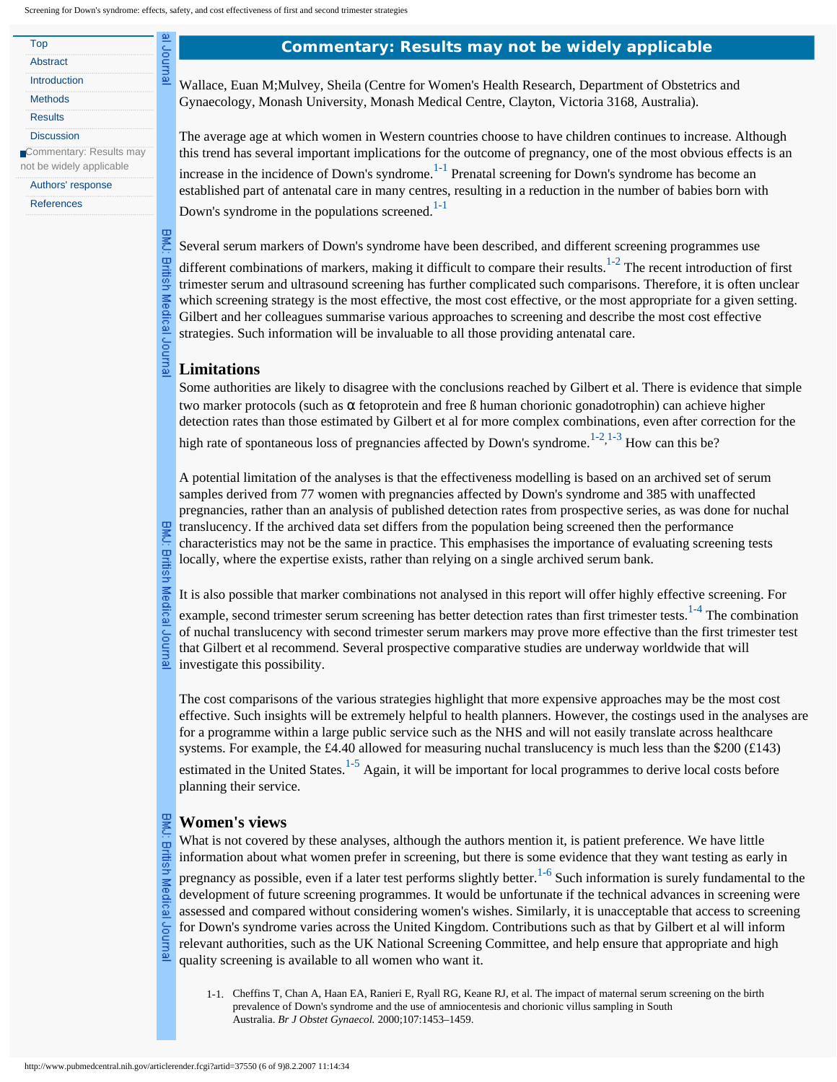Journal

**BMJ: British** 

Medical

Journa

<span id="page-5-0"></span>

| Top                      |  |
|--------------------------|--|
| Abstract                 |  |
| Introduction             |  |
| <b>Methods</b>           |  |
| <b>Results</b>           |  |
| <b>Discussion</b>        |  |
| Commentary: Results may  |  |
| not be widely applicable |  |
|                          |  |

[Authors' response](#page-6-0)

[References](#page-7-0)

#### **Commentary: Results may not be widely applicable**

Wallace, Euan M;Mulvey, Sheila (Centre for Women's Health Research, Department of Obstetrics and Gynaecology, Monash University, Monash Medical Centre, Clayton, Victoria 3168, Australia).

The average age at which women in Western countries choose to have children continues to increase. Although this trend has several important implications for the outcome of pregnancy, one of the most obvious effects is an increase in the incidence of Down's syndrome.<sup>1-1</sup> Prenatal screening for Down's syndrome has become an established part of antenatal care in many centres, resulting in a reduction in the number of babies born with Down's syndrome in the populations screened. $1-1$ 

Several serum markers of Down's syndrome have been described, and different screening programmes use

different combinations of markers, making it difficult to compare their results. $1-2$  The recent introduction of first trimester serum and ultrasound screening has further complicated such comparisons. Therefore, it is often unclear which screening strategy is the most effective, the most cost effective, or the most appropriate for a given setting. Gilbert and her colleagues summarise various approaches to screening and describe the most cost effective strategies. Such information will be invaluable to all those providing antenatal care.

# **Limitations**

Some authorities are likely to disagree with the conclusions reached by Gilbert et al. There is evidence that simple two marker protocols (such as α fetoprotein and free ß human chorionic gonadotrophin) can achieve higher detection rates than those estimated by Gilbert et al for more complex combinations, even after correction for the

high rate of spontaneous loss of pregnancies affected by Down's syndrome.<sup>[1-2](#page-5-2),[1-3](#page-6-1)</sup> How can this be?

A potential limitation of the analyses is that the effectiveness modelling is based on an archived set of serum samples derived from 77 women with pregnancies affected by Down's syndrome and 385 with unaffected pregnancies, rather than an analysis of published detection rates from prospective series, as was done for nuchal translucency. If the archived data set differs from the population being screened then the performance characteristics may not be the same in practice. This emphasises the importance of evaluating screening tests locally, where the expertise exists, rather than relying on a single archived serum bank.

It is also possible that marker combinations not analysed in this report will offer highly effective screening. For

example, second trimester serum screening has better detection rates than first trimester tests.<sup>[1-4](#page-6-2)</sup> The combination of nuchal translucency with second trimester serum markers may prove more effective than the first trimester test that Gilbert et al recommend. Several prospective comparative studies are underway worldwide that will investigate this possibility.

The cost comparisons of the various strategies highlight that more expensive approaches may be the most cost effective. Such insights will be extremely helpful to health planners. However, the costings used in the analyses are for a programme within a large public service such as the NHS and will not easily translate across healthcare systems. For example, the £4.40 allowed for measuring nuchal translucency is much less than the \$200 (£143) estimated in the United States.<sup>[1-5](#page-6-3)</sup> Again, it will be important for local programmes to derive local costs before planning their service.

#### **Women's views**

What is not covered by these analyses, although the authors mention it, is patient preference. We have little information about what women prefer in screening, but there is some evidence that they want testing as early in pregnancy as possible, even if a later test performs slightly better.<sup>1-6</sup> Such information is surely fundamental to the development of future screening programmes. It would be unfortunate if the technical advances in screening were assessed and compared without considering women's wishes. Similarly, it is unacceptable that access to screening for Down's syndrome varies across the United Kingdom. Contributions such as that by Gilbert et al will inform relevant authorities, such as the UK National Screening Committee, and help ensure that appropriate and high quality screening is available to all women who want it.

1-1. Cheffins T, Chan A, Haan EA, Ranieri E, Ryall RG, Keane RJ, et al. The impact of maternal serum screening on the birth prevalence of Down's syndrome and the use of amniocentesis and chorionic villus sampling in South Australia. *Br J Obstet Gynaecol.* 2000;107:1453–1459.

**British** 

Medica

<span id="page-5-2"></span><span id="page-5-1"></span>릢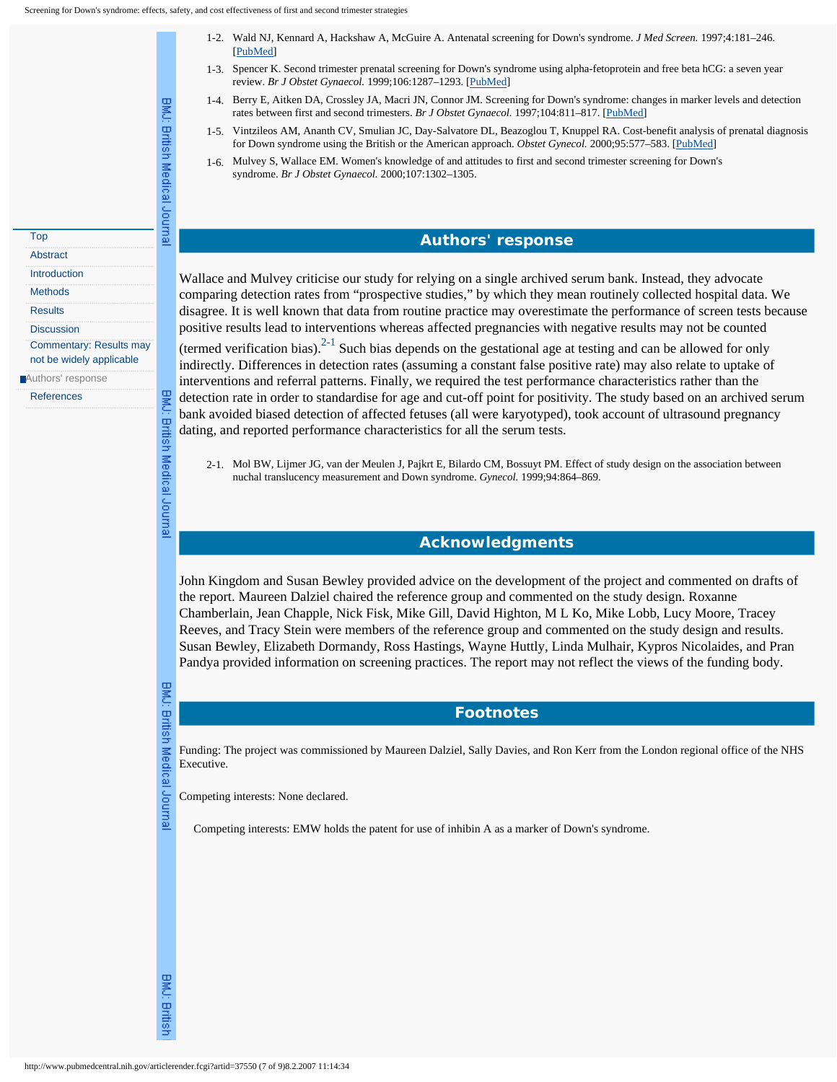<span id="page-6-1"></span>BMJ: British Medical Journal

**BMU:** 

British Medical Journal

- 1-2. Wald NJ, Kennard A, Hackshaw A, McGuire A. Antenatal screening for Down's syndrome. *J Med Screen.* 1997;4:181–246. [[PubMed\]](http://www.pubmedcentral.nih.gov/redirect3.cgi?&&reftype=pubmed&artid=37550&iid=118337&jid=3&FROM=Article|CitationRef&TO=Entrez|PubMed|Record&article-id=37550&journal-id=3&rendering-type=normal&&http://www.ncbi.nlm.nih.gov/entrez/query.fcgi?db=PubMed&cmd=Retrieve&list_uids=9494915)
- 1-3. Spencer K. Second trimester prenatal screening for Down's syndrome using alpha-fetoprotein and free beta hCG: a seven year review. *Br J Obstet Gynaecol.* 1999;106:1287–1293. [[PubMed\]](http://www.pubmedcentral.nih.gov/redirect3.cgi?&&reftype=pubmed&artid=37550&iid=118337&jid=3&FROM=Article|CitationRef&TO=Entrez|PubMed|Record&article-id=37550&journal-id=3&rendering-type=normal&&http://www.ncbi.nlm.nih.gov/entrez/query.fcgi?db=PubMed&cmd=Retrieve&list_uids=10609723)
- 1-4. Berry E, Aitken DA, Crossley JA, Macri JN, Connor JM. Screening for Down's syndrome: changes in marker levels and detection rates between first and second trimesters. *Br J Obstet Gynaecol.* 1997;104:811–817. [[PubMed\]](http://www.pubmedcentral.nih.gov/redirect3.cgi?&&reftype=pubmed&artid=37550&iid=118337&jid=3&FROM=Article|CitationRef&TO=Entrez|PubMed|Record&article-id=37550&journal-id=3&rendering-type=normal&&http://www.ncbi.nlm.nih.gov/entrez/query.fcgi?db=PubMed&cmd=Retrieve&list_uids=9236646)
- 1-5. Vintzileos AM, Ananth CV, Smulian JC, Day-Salvatore DL, Beazoglou T, Knuppel RA. Cost-benefit analysis of prenatal diagnosis for Down syndrome using the British or the American approach. *Obstet Gynecol.* 2000;95:577–583. [[PubMed\]](http://www.pubmedcentral.nih.gov/redirect3.cgi?&&reftype=pubmed&artid=37550&iid=118337&jid=3&FROM=Article|CitationRef&TO=Entrez|PubMed|Record&article-id=37550&journal-id=3&rendering-type=normal&&http://www.ncbi.nlm.nih.gov/entrez/query.fcgi?db=PubMed&cmd=Retrieve&list_uids=10725493)
- 1-6. Mulvey S, Wallace EM. Women's knowledge of and attitudes to first and second trimester screening for Down's syndrome. *Br J Obstet Gynaecol.* 2000;107:1302–1305.

# **Authors' response**

Wallace and Mulvey criticise our study for relying on a single archived serum bank. Instead, they advocate comparing detection rates from "prospective studies," by which they mean routinely collected hospital data. We disagree. It is well known that data from routine practice may overestimate the performance of screen tests because positive results lead to interventions whereas affected pregnancies with negative results may not be counted

(termed verification bias).<sup>2-1</sup> Such bias depends on the gestational age at testing and can be allowed for only indirectly. Differences in detection rates (assuming a constant false positive rate) may also relate to uptake of interventions and referral patterns. Finally, we required the test performance characteristics rather than the detection rate in order to standardise for age and cut-off point for positivity. The study based on an archived serum bank avoided biased detection of affected fetuses (all were karyotyped), took account of ultrasound pregnancy dating, and reported performance characteristics for all the serum tests.

2-1. Mol BW, Lijmer JG, van der Meulen J, Pajkrt E, Bilardo CM, Bossuyt PM. Effect of study design on the association between nuchal translucency measurement and Down syndrome. *Gynecol.* 1999;94:864–869.

#### **Acknowledgments**

John Kingdom and Susan Bewley provided advice on the development of the project and commented on drafts of the report. Maureen Dalziel chaired the reference group and commented on the study design. Roxanne Chamberlain, Jean Chapple, Nick Fisk, Mike Gill, David Highton, M L Ko, Mike Lobb, Lucy Moore, Tracey Reeves, and Tracy Stein were members of the reference group and commented on the study design and results. Susan Bewley, Elizabeth Dormandy, Ross Hastings, Wayne Huttly, Linda Mulhair, Kypros Nicolaides, and Pran Pandya provided information on screening practices. The report may not reflect the views of the funding body.

Journal

<span id="page-6-4"></span><span id="page-6-3"></span><span id="page-6-2"></span><span id="page-6-0"></span>[Top](#page-0-0) **[Abstract](#page-0-1)** [Introduction](#page-1-0) [Methods](#page-1-1) **[Results](#page-2-0) [Discussion](#page-3-0)** 

[Commentary: Results may](#page-5-0) [not be widely applicable](#page-5-0)

<span id="page-6-5"></span>**Authors'** response **[References](#page-7-0)** 

> BMJ: British Medical Funding: The project was commissioned by Maureen Dalziel, Sally Davies, and Ron Kerr from the London regional office of the NHS Executive.

**Footnotes**

Competing interests: None declared.

Competing interests: EMW holds the patent for use of inhibin A as a marker of Down's syndrome.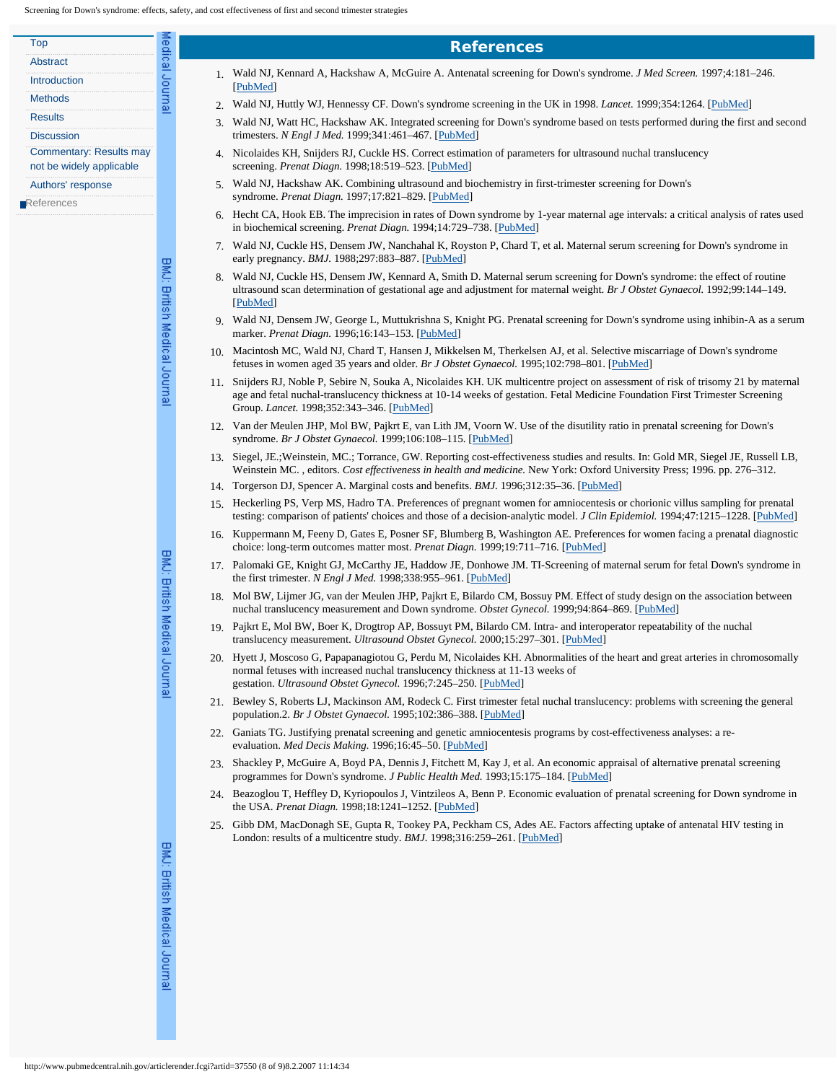<span id="page-7-3"></span><span id="page-7-2"></span><span id="page-7-1"></span><span id="page-7-0"></span>

| Top                            |
|--------------------------------|
| Abstract                       |
| Introduction                   |
| <b>Methods</b>                 |
| Results                        |
| Discussion                     |
| <b>Commentary: Results may</b> |
| not be widely applicable       |
| Authors' response              |

<span id="page-7-7"></span><span id="page-7-6"></span><span id="page-7-5"></span><span id="page-7-4"></span>[References](javascript:return(false);)

BMJ: British Medical Journal

fedical Journa

<span id="page-7-17"></span><span id="page-7-15"></span><span id="page-7-14"></span><span id="page-7-13"></span><span id="page-7-12"></span><span id="page-7-11"></span><span id="page-7-10"></span><span id="page-7-9"></span><span id="page-7-8"></span>BMJ: British Medical Journal

<span id="page-7-21"></span><span id="page-7-20"></span><span id="page-7-19"></span><span id="page-7-18"></span>BMJ: British Medical Journa

- **References**
- 1. Wald NJ, Kennard A, Hackshaw A, McGuire A. Antenatal screening for Down's syndrome. *J Med Screen.* 1997;4:181–246. [[PubMed\]](http://www.pubmedcentral.nih.gov/redirect3.cgi?&&reftype=pubmed&artid=37550&iid=118337&jid=3&FROM=Article|CitationRef&TO=Entrez|PubMed|Record&article-id=37550&journal-id=3&rendering-type=normal&&http://www.ncbi.nlm.nih.gov/entrez/query.fcgi?db=PubMed&cmd=Retrieve&list_uids=9494915)
- 2. Wald NJ, Huttly WJ, Hennessy CF. Down's syndrome screening in the UK in 1998. *Lancet.* 1999;354:1264. [[PubMed\]](http://www.pubmedcentral.nih.gov/redirect3.cgi?&&reftype=pubmed&artid=37550&iid=118337&jid=3&FROM=Article|CitationRef&TO=Entrez|PubMed|Record&article-id=37550&journal-id=3&rendering-type=normal&&http://www.ncbi.nlm.nih.gov/entrez/query.fcgi?db=PubMed&cmd=Retrieve&list_uids=10520640)
- 3. Wald NJ, Watt HC, Hackshaw AK. Integrated screening for Down's syndrome based on tests performed during the first and second trimesters. *N Engl J Med.* 1999;341:461–467. [[PubMed\]](http://www.pubmedcentral.nih.gov/redirect3.cgi?&&reftype=pubmed&artid=37550&iid=118337&jid=3&FROM=Article|CitationRef&TO=Entrez|PubMed|Record&article-id=37550&journal-id=3&rendering-type=normal&&http://www.ncbi.nlm.nih.gov/entrez/query.fcgi?db=PubMed&cmd=Retrieve&list_uids=10441601)
- 4. Nicolaides KH, Snijders RJ, Cuckle HS. Correct estimation of parameters for ultrasound nuchal translucency screening. *Prenat Diagn.* 1998;18:519–523. [\[PubMed](http://www.pubmedcentral.nih.gov/redirect3.cgi?&&reftype=pubmed&artid=37550&iid=118337&jid=3&FROM=Article|CitationRef&TO=Entrez|PubMed|Record&article-id=37550&journal-id=3&rendering-type=normal&&http://www.ncbi.nlm.nih.gov/entrez/query.fcgi?db=PubMed&cmd=Retrieve&list_uids=9621389)]
- 5. Wald NJ, Hackshaw AK. Combining ultrasound and biochemistry in first-trimester screening for Down's syndrome. *Prenat Diagn.* 1997;17:821–829. [\[PubMed](http://www.pubmedcentral.nih.gov/redirect3.cgi?&&reftype=pubmed&artid=37550&iid=118337&jid=3&FROM=Article|CitationRef&TO=Entrez|PubMed|Record&article-id=37550&journal-id=3&rendering-type=normal&&http://www.ncbi.nlm.nih.gov/entrez/query.fcgi?db=PubMed&cmd=Retrieve&list_uids=9316126)]
- 6. Hecht CA, Hook EB. The imprecision in rates of Down syndrome by 1-year maternal age intervals: a critical analysis of rates used in biochemical screening. *Prenat Diagn.* 1994;14:729–738. [[PubMed\]](http://www.pubmedcentral.nih.gov/redirect3.cgi?&&reftype=pubmed&artid=37550&iid=118337&jid=3&FROM=Article|CitationRef&TO=Entrez|PubMed|Record&article-id=37550&journal-id=3&rendering-type=normal&&http://www.ncbi.nlm.nih.gov/entrez/query.fcgi?db=PubMed&cmd=Retrieve&list_uids=7991514)
- 7. Wald NJ, Cuckle HS, Densem JW, Nanchahal K, Royston P, Chard T, et al. Maternal serum screening for Down's syndrome in early pregnancy. *BMJ.* 1988;297:883–887. [\[PubMed](http://www.pubmedcentral.nih.gov/redirect3.cgi?&&reftype=pubmed&artid=37550&iid=118337&jid=3&FROM=Article|CitationRef&TO=Entrez|PubMed|Record&article-id=37550&journal-id=3&rendering-type=normal&&http://www.ncbi.nlm.nih.gov/entrez/query.fcgi?db=PubMed&cmd=Retrieve&list_uids=2460174)]
- 8. Wald NJ, Cuckle HS, Densem JW, Kennard A, Smith D. Maternal serum screening for Down's syndrome: the effect of routine ultrasound scan determination of gestational age and adjustment for maternal weight. *Br J Obstet Gynaecol.* 1992;99:144–149. [[PubMed\]](http://www.pubmedcentral.nih.gov/redirect3.cgi?&&reftype=pubmed&artid=37550&iid=118337&jid=3&FROM=Article|CitationRef&TO=Entrez|PubMed|Record&article-id=37550&journal-id=3&rendering-type=normal&&http://www.ncbi.nlm.nih.gov/entrez/query.fcgi?db=PubMed&cmd=Retrieve&list_uids=1372820)
- 9. Wald NJ, Densem JW, George L, Muttukrishna S, Knight PG. Prenatal screening for Down's syndrome using inhibin-A as a serum marker. *Prenat Diagn.* 1996;16:143–153. [\[PubMed\]](http://www.pubmedcentral.nih.gov/redirect3.cgi?&&reftype=pubmed&artid=37550&iid=118337&jid=3&FROM=Article|CitationRef&TO=Entrez|PubMed|Record&article-id=37550&journal-id=3&rendering-type=normal&&http://www.ncbi.nlm.nih.gov/entrez/query.fcgi?db=PubMed&cmd=Retrieve&list_uids=8650125)
- 10. Macintosh MC, Wald NJ, Chard T, Hansen J, Mikkelsen M, Therkelsen AJ, et al. Selective miscarriage of Down's syndrome fetuses in women aged 35 years and older. *Br J Obstet Gynaecol.* 1995;102:798–801. [[PubMed\]](http://www.pubmedcentral.nih.gov/redirect3.cgi?&&reftype=pubmed&artid=37550&iid=118337&jid=3&FROM=Article|CitationRef&TO=Entrez|PubMed|Record&article-id=37550&journal-id=3&rendering-type=normal&&http://www.ncbi.nlm.nih.gov/entrez/query.fcgi?db=PubMed&cmd=Retrieve&list_uids=7547736)
- 11. Snijders RJ, Noble P, Sebire N, Souka A, Nicolaides KH. UK multicentre project on assessment of risk of trisomy 21 by maternal age and fetal nuchal-translucency thickness at 10-14 weeks of gestation. Fetal Medicine Foundation First Trimester Screening Group. *Lancet.* 1998;352:343–346. [\[PubMed](http://www.pubmedcentral.nih.gov/redirect3.cgi?&&reftype=pubmed&artid=37550&iid=118337&jid=3&FROM=Article|CitationRef&TO=Entrez|PubMed|Record&article-id=37550&journal-id=3&rendering-type=normal&&http://www.ncbi.nlm.nih.gov/entrez/query.fcgi?db=PubMed&cmd=Retrieve&list_uids=9717920)]
- 12. Van der Meulen JHP, Mol BW, Pajkrt E, van Lith JM, Voorn W. Use of the disutility ratio in prenatal screening for Down's syndrome. *Br J Obstet Gynaecol.* 1999;106:108–115. [[PubMed\]](http://www.pubmedcentral.nih.gov/redirect3.cgi?&&reftype=pubmed&artid=37550&iid=118337&jid=3&FROM=Article|CitationRef&TO=Entrez|PubMed|Record&article-id=37550&journal-id=3&rendering-type=normal&&http://www.ncbi.nlm.nih.gov/entrez/query.fcgi?db=PubMed&cmd=Retrieve&list_uids=10426675)
- 13. Siegel, JE.;Weinstein, MC.; Torrance, GW. Reporting cost-effectiveness studies and results. In: Gold MR, Siegel JE, Russell LB, Weinstein MC. , editors. *Cost effectiveness in health and medicine.* New York: Oxford University Press; 1996. pp. 276–312.
- 14. Torgerson DJ, Spencer A. Marginal costs and benefits. *BMJ.* 1996;312:35–36. [\[PubMed](http://www.pubmedcentral.nih.gov/redirect3.cgi?&&reftype=pubmed&artid=37550&iid=118337&jid=3&FROM=Article|CitationRef&TO=Entrez|PubMed|Record&article-id=37550&journal-id=3&rendering-type=normal&&http://www.ncbi.nlm.nih.gov/entrez/query.fcgi?db=PubMed&cmd=Retrieve&list_uids=8555859)]
- 15. Heckerling PS, Verp MS, Hadro TA. Preferences of pregnant women for amniocentesis or chorionic villus sampling for prenatal testing: comparison of patients' choices and those of a decision-analytic model. *J Clin Epidemiol.* 1994;47:1215–1228. [[PubMed\]](http://www.pubmedcentral.nih.gov/redirect3.cgi?&&reftype=pubmed&artid=37550&iid=118337&jid=3&FROM=Article|CitationRef&TO=Entrez|PubMed|Record&article-id=37550&journal-id=3&rendering-type=normal&&http://www.ncbi.nlm.nih.gov/entrez/query.fcgi?db=PubMed&cmd=Retrieve&list_uids=7722557)
- 16. Kuppermann M, Feeny D, Gates E, Posner SF, Blumberg B, Washington AE. Preferences for women facing a prenatal diagnostic choice: long-term outcomes matter most. *Prenat Diagn.* 1999;19:711–716. [[PubMed\]](http://www.pubmedcentral.nih.gov/redirect3.cgi?&&reftype=pubmed&artid=37550&iid=118337&jid=3&FROM=Article|CitationRef&TO=Entrez|PubMed|Record&article-id=37550&journal-id=3&rendering-type=normal&&http://www.ncbi.nlm.nih.gov/entrez/query.fcgi?db=PubMed&cmd=Retrieve&list_uids=10451513)
- 17. Palomaki GE, Knight GJ, McCarthy JE, Haddow JE, Donhowe JM. TI-Screening of maternal serum for fetal Down's syndrome in the first trimester. *N Engl J Med.* 1998;338:955–961. [\[PubMed](http://www.pubmedcentral.nih.gov/redirect3.cgi?&&reftype=pubmed&artid=37550&iid=118337&jid=3&FROM=Article|CitationRef&TO=Entrez|PubMed|Record&article-id=37550&journal-id=3&rendering-type=normal&&http://www.ncbi.nlm.nih.gov/entrez/query.fcgi?db=PubMed&cmd=Retrieve&list_uids=9521983)]
- 18. Mol BW, Lijmer JG, van der Meulen JHP, Pajkrt E, Bilardo CM, Bossuy PM. Effect of study design on the association between nuchal translucency measurement and Down syndrome. *Obstet Gynecol.* 1999;94:864–869. [\[PubMed](http://www.pubmedcentral.nih.gov/redirect3.cgi?&&reftype=pubmed&artid=37550&iid=118337&jid=3&FROM=Article|CitationRef&TO=Entrez|PubMed|Record&article-id=37550&journal-id=3&rendering-type=normal&&http://www.ncbi.nlm.nih.gov/entrez/query.fcgi?db=PubMed&cmd=Retrieve&list_uids=10546775)]
- 19. Pajkrt E, Mol BW, Boer K, Drogtrop AP, Bossuyt PM, Bilardo CM. Intra- and interoperator repeatability of the nuchal translucency measurement. *Ultrasound Obstet Gynecol.* 2000;15:297–301. [[PubMed\]](http://www.pubmedcentral.nih.gov/redirect3.cgi?&&reftype=pubmed&artid=37550&iid=118337&jid=3&FROM=Article|CitationRef&TO=Entrez|PubMed|Record&article-id=37550&journal-id=3&rendering-type=normal&&http://www.ncbi.nlm.nih.gov/entrez/query.fcgi?db=PubMed&cmd=Retrieve&list_uids=10895448)
- 20. Hyett J, Moscoso G, Papapanagiotou G, Perdu M, Nicolaides KH. Abnormalities of the heart and great arteries in chromosomally normal fetuses with increased nuchal translucency thickness at 11-13 weeks of gestation. *Ultrasound Obstet Gynecol.* 1996;7:245–250. [[PubMed\]](http://www.pubmedcentral.nih.gov/redirect3.cgi?&&reftype=pubmed&artid=37550&iid=118337&jid=3&FROM=Article|CitationRef&TO=Entrez|PubMed|Record&article-id=37550&journal-id=3&rendering-type=normal&&http://www.ncbi.nlm.nih.gov/entrez/query.fcgi?db=PubMed&cmd=Retrieve&list_uids=8726875)
- <span id="page-7-16"></span>21. Bewley S, Roberts LJ, Mackinson AM, Rodeck C. First trimester fetal nuchal translucency: problems with screening the general population.2. *Br J Obstet Gynaecol.* 1995;102:386–388. [\[PubMed](http://www.pubmedcentral.nih.gov/redirect3.cgi?&&reftype=pubmed&artid=37550&iid=118337&jid=3&FROM=Article|CitationRef&TO=Entrez|PubMed|Record&article-id=37550&journal-id=3&rendering-type=normal&&http://www.ncbi.nlm.nih.gov/entrez/query.fcgi?db=PubMed&cmd=Retrieve&list_uids=7612532)]
- 22. Ganiats TG. Justifying prenatal screening and genetic amniocentesis programs by cost-effectiveness analyses: a reevaluation. *Med Decis Making.* 1996;16:45–50. [\[PubMed](http://www.pubmedcentral.nih.gov/redirect3.cgi?&&reftype=pubmed&artid=37550&iid=118337&jid=3&FROM=Article|CitationRef&TO=Entrez|PubMed|Record&article-id=37550&journal-id=3&rendering-type=normal&&http://www.ncbi.nlm.nih.gov/entrez/query.fcgi?db=PubMed&cmd=Retrieve&list_uids=8717598)]
- 23. Shackley P, McGuire A, Boyd PA, Dennis J, Fitchett M, Kay J, et al. An economic appraisal of alternative prenatal screening programmes for Down's syndrome. *J Public Health Med.* 1993;15:175–184. [\[PubMed](http://www.pubmedcentral.nih.gov/redirect3.cgi?&&reftype=pubmed&artid=37550&iid=118337&jid=3&FROM=Article|CitationRef&TO=Entrez|PubMed|Record&article-id=37550&journal-id=3&rendering-type=normal&&http://www.ncbi.nlm.nih.gov/entrez/query.fcgi?db=PubMed&cmd=Retrieve&list_uids=7688977)]
- 24. Beazoglou T, Heffley D, Kyriopoulos J, Vintzileos A, Benn P. Economic evaluation of prenatal screening for Down syndrome in the USA. *Prenat Diagn.* 1998;18:1241–1252. [[PubMed\]](http://www.pubmedcentral.nih.gov/redirect3.cgi?&&reftype=pubmed&artid=37550&iid=118337&jid=3&FROM=Article|CitationRef&TO=Entrez|PubMed|Record&article-id=37550&journal-id=3&rendering-type=normal&&http://www.ncbi.nlm.nih.gov/entrez/query.fcgi?db=PubMed&cmd=Retrieve&list_uids=9885015)
- 25. Gibb DM, MacDonagh SE, Gupta R, Tookey PA, Peckham CS, Ades AE. Factors affecting uptake of antenatal HIV testing in London: results of a multicentre study. *BMJ.* 1998;316:259–261. [[PubMed\]](http://www.pubmedcentral.nih.gov/redirect3.cgi?&&reftype=pubmed&artid=37550&iid=118337&jid=3&FROM=Article|CitationRef&TO=Entrez|PubMed|Record&article-id=37550&journal-id=3&rendering-type=normal&&http://www.ncbi.nlm.nih.gov/entrez/query.fcgi?db=PubMed&cmd=Retrieve&list_uids=9472505)